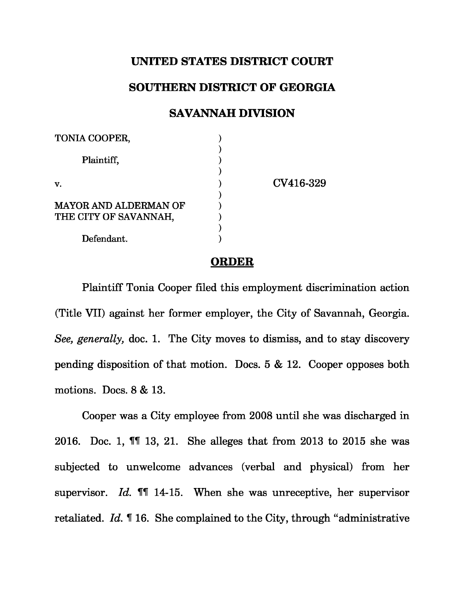## **UNITED STATES DISTRICT COURT**

## **SOUTHERN DISTRICT OF GEORGIA**

## **SAVANNAH DIVISION**

| TONIA COOPER,                |           |
|------------------------------|-----------|
| Plaintiff,                   |           |
| v.                           | CV416-329 |
|                              |           |
| <b>MAYOR AND ALDERMAN OF</b> |           |
| THE CITY OF SAVANNAH,        |           |
|                              |           |
| Defendant.                   |           |

## **ORDER**

Plaintiff Tonia Cooper filed this employment discrimination action (Title VII) against her former employer, the City of Savannah, Georgia. *See, generally,* doc. 1. The City moves to dismiss, and to stay discovery pending disposition of that motion. Docs. 5 & 12. Cooper opposes both motions. Docs. 8 & 13.

Cooper was a City employee from 2008 until she was discharged in 2016. Doc. 1, ¶¶ 13, 21. She alleges that from 2013 to 2015 she was subjected to unwelcome advances (verbal and physical) from her supervisor. *Id.* ¶¶ 14-15. When she was unreceptive, her supervisor retaliated. *Id.* ¶ 16. She complained to the City, through "administrative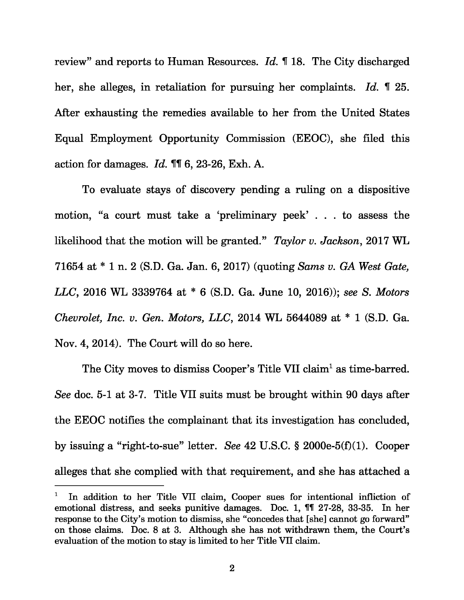review" and reports to Human Resources. *Id.* ¶ 18. The City discharged her, she alleges, in retaliation for pursuing her complaints. *Id.* ¶ 25. After exhausting the remedies available to her from the United States Equal Employment Opportunity Commission (EEOC), she filed this action for damages. *Id.* ¶¶ 6, 23-26, Exh. A.

To evaluate stays of discovery pending a ruling on a dispositive motion, "a court must take a 'preliminary peek' . . . to assess the likelihood that the motion will be granted." *Taylor v. Jackson*, 2017 WL 71654 at \* 1 n. 2 (S.D. Ga. Jan. 6, 2017) (quoting *Sams v. GA West Gate, LLC* , 2016 WL 3339764 at \* 6 (S.D. Ga. June 10, 2016)); *see S. Motors Chevrolet, Inc. v. Gen. Motors, LLC* , 2014 WL 5644089 at \* 1 (S.D. Ga. Nov. 4, 2014). The Court will do so here.

The City moves to dismiss Cooper's Title VII claim<sup>1</sup> as time-barred. *See* doc. 5-1 at 3-7. Title VII suits must be brought within 90 days after the EEOC notifies the complainant that its investigation has concluded, by issuing a "right-to-sue" letter. *See* 42 U.S.C. § 2000e-5(f)(1). Cooper alleges that she complied with that requirement, and she has attached a

In addition to her Title VII claim, Cooper sues for intentional infliction of emotional distress, and seeks punitive damages. Doc. 1, ¶¶ 27-28, 33-35. In her response to the City's motion to dismiss, she "concedes that [she] cannot go forward" on those claims. Doc. 8 at 3. Although she has not withdrawn them, the Court's evaluation of the motion to stay is limited to her Title VII claim.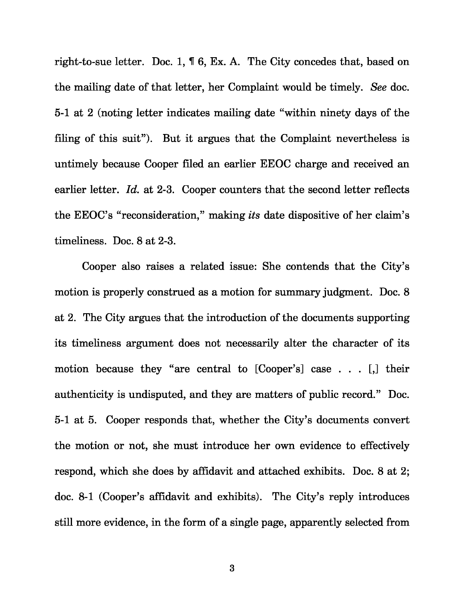right-to-sue letter. Doc. 1, ¶ 6, Ex. A. The City concedes that, based on the mailing date of that letter, her Complaint would be timely. *See* doc. 5-1 at 2 (noting letter indicates mailing date "within ninety days of the filing of this suit"). But it argues that the Complaint nevertheless is untimely because Cooper filed an earlier EEOC charge and received an earlier letter. *Id.* at 2-3. Cooper counters that the second letter reflects the EEOC's "reconsideration," making *its* date dispositive of her claim's timeliness. Doc. 8 at 2-3.

Cooper also raises a related issue: She contends that the City's motion is properly construed as a motion for summary judgment. Doc. 8 at 2. The City argues that the introduction of the documents supporting its timeliness argument does not necessarily alter the character of its motion because they "are central to [Cooper's] case . . . [,] their authenticity is undisputed, and they are matters of public record." Doc. 5-1 at 5. Cooper responds that, whether the City's documents convert the motion or not, she must introduce her own evidence to effectively respond, which she does by affidavit and attached exhibits. Doc. 8 at 2; doc. 8-1 (Cooper's affidavit and exhibits). The City's reply introduces still more evidence, in the form of a single page, apparently selected from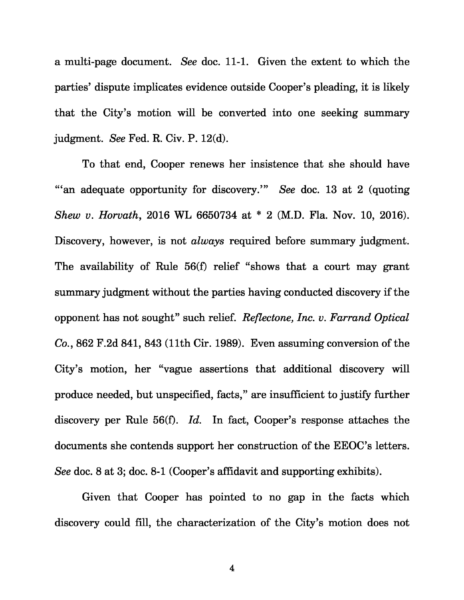a multi-page document. *See* doc. 11-1. Given the extent to which the parties' dispute implicates evidence outside Cooper's pleading, it is likely that the City's motion will be converted into one seeking summary judgment. *See* Fed. R. Civ. P. 12(d).

To that end, Cooper renews her insistence that she should have "'an adequate opportunity for discovery.'" *See* doc. 13 at 2 (quoting *Shew v* . *Horvath*, 2016 WL 6650734 at \* 2 (M.D. Fla. Nov. 10, 2016). Discovery, however, is not *always* required before summary judgment. The availability of Rule 56(f) relief "shows that a court may grant summary judgment without the parties having conducted discovery if the opponent has not sought" such relief. *Reflectone, Inc. v. Farrand Optical Co.* , 862 F.2d 841, 843 (11th Cir. 1989). Even assuming conversion of the City's motion, her "vague assertions that additional discovery will produce needed, but unspecified, facts," are insufficient to justify further discovery per Rule 56(f). *Id.* In fact, Cooper's response attaches the documents she contends support her construction of the EEOC's letters. *See* doc. 8 at 3; doc. 8-1 (Cooper's affidavit and supporting exhibits).

Given that Cooper has pointed to no gap in the facts which discovery could fill, the characterization of the City's motion does not

4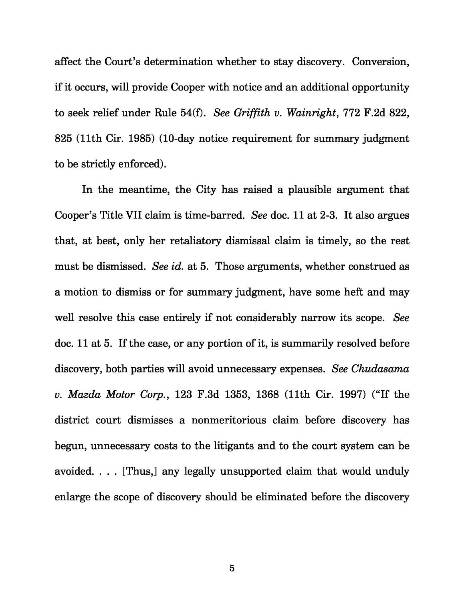affect the Court's determination whether to stay discovery. Conversion, if it occurs, will provide Cooper with notice and an additional opportunity to seek relief under Rule 54(f). *See Griffith v. Wainright*, 772 F.2d 822, 825 (11th Cir. 1985) (10-day notice requirement for summary judgment to be strictly enforced).

In the meantime, the City has raised a plausible argument that Cooper's Title VII claim is time-barred. *See* doc. 11 at 2-3. It also argues that, at best, only her retaliatory dismissal claim is timely, so the rest must be dismissed. *See id.* at 5. Those arguments, whether construed as a motion to dismiss or for summary judgment, have some heft and may well resolve this case entirely if not considerably narrow its scope. *See*  doc. 11 at 5. If the case, or any portion of it, is summarily resolved before discovery, both parties will avoid unnecessary expenses. *See Chudasama v. Mazda Motor Corp.* , 123 F.3d 1353, 1368 (11th Cir. 1997) ("If the district court dismisses a nonmeritorious claim before discovery has begun, unnecessary costs to the litigants and to the court system can be avoided. . . . [Thus,] any legally unsupported claim that would unduly enlarge the scope of discovery should be eliminated before the discovery